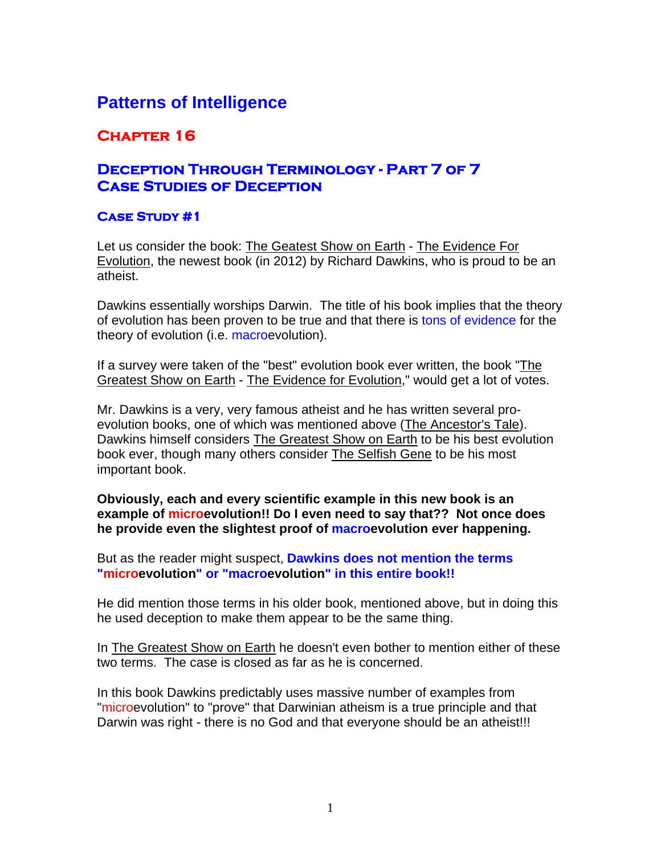# **Patterns of Intelligence**

## **Chapter 16**

### **Deception Through Terminology - Part 7 of 7 Case Studies of Deception**

### **Case Study #1**

Let us consider the book: The Geatest Show on Earth - The Evidence For Evolution, the newest book (in 2012) by Richard Dawkins, who is proud to be an atheist.

Dawkins essentially worships Darwin. The title of his book implies that the theory of evolution has been proven to be true and that there is tons of evidence for the theory of evolution (i.e. macroevolution).

If a survey were taken of the "best" evolution book ever written, the book "The Greatest Show on Earth - The Evidence for Evolution," would get a lot of votes.

Mr. Dawkins is a very, very famous atheist and he has written several proevolution books, one of which was mentioned above (The Ancestor's Tale). Dawkins himself considers The Greatest Show on Earth to be his best evolution book ever, though many others consider The Selfish Gene to be his most important book.

**Obviously, each and every scientific example in this new book is an example of microevolution!! Do I even need to say that?? Not once does he provide even the slightest proof of macroevolution ever happening.** 

But as the reader might suspect, **Dawkins does not mention the terms "microevolution" or "macroevolution" in this entire book!!** 

He did mention those terms in his older book, mentioned above, but in doing this he used deception to make them appear to be the same thing.

In The Greatest Show on Earth he doesn't even bother to mention either of these two terms. The case is closed as far as he is concerned.

In this book Dawkins predictably uses massive number of examples from "microevolution" to "prove" that Darwinian atheism is a true principle and that Darwin was right - there is no God and that everyone should be an atheist!!!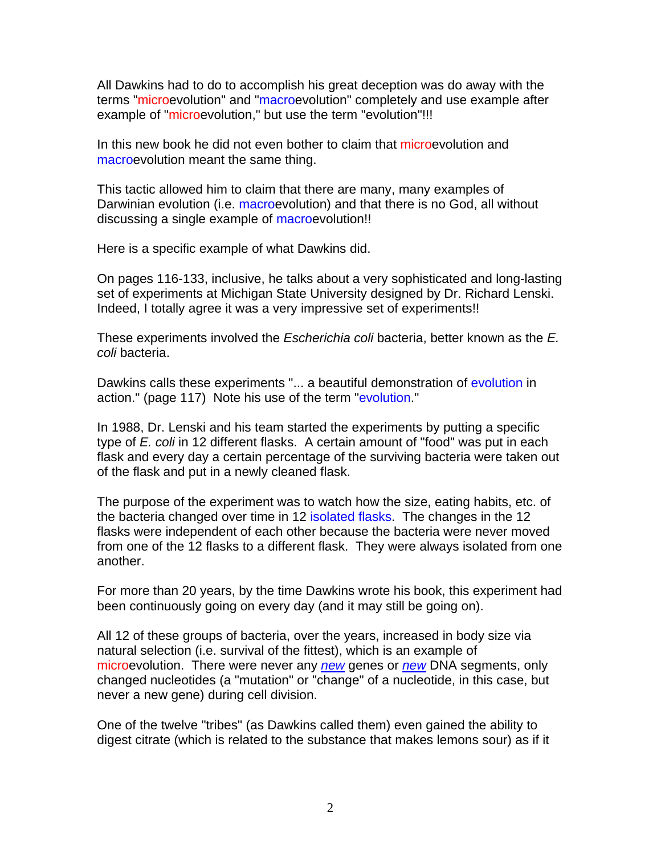All Dawkins had to do to accomplish his great deception was do away with the terms "microevolution" and "macroevolution" completely and use example after example of "microevolution," but use the term "evolution"!!!

In this new book he did not even bother to claim that microevolution and macroevolution meant the same thing.

This tactic allowed him to claim that there are many, many examples of Darwinian evolution (i.e. macroevolution) and that there is no God, all without discussing a single example of macroevolution!!

Here is a specific example of what Dawkins did.

On pages 116-133, inclusive, he talks about a very sophisticated and long-lasting set of experiments at Michigan State University designed by Dr. Richard Lenski. Indeed, I totally agree it was a very impressive set of experiments!!

These experiments involved the *Escherichia coli* bacteria, better known as the *E. coli* bacteria.

Dawkins calls these experiments "... a beautiful demonstration of evolution in action." (page 117) Note his use of the term "evolution."

In 1988, Dr. Lenski and his team started the experiments by putting a specific type of *E. coli* in 12 different flasks. A certain amount of "food" was put in each flask and every day a certain percentage of the surviving bacteria were taken out of the flask and put in a newly cleaned flask.

The purpose of the experiment was to watch how the size, eating habits, etc. of the bacteria changed over time in 12 isolated flasks. The changes in the 12 flasks were independent of each other because the bacteria were never moved from one of the 12 flasks to a different flask. They were always isolated from one another.

For more than 20 years, by the time Dawkins wrote his book, this experiment had been continuously going on every day (and it may still be going on).

All 12 of these groups of bacteria, over the years, increased in body size via natural selection (i.e. survival of the fittest), which is an example of microevolution. There were never any *new* genes or *new* DNA segments, only changed nucleotides (a "mutation" or "change" of a nucleotide, in this case, but never a new gene) during cell division.

One of the twelve "tribes" (as Dawkins called them) even gained the ability to digest citrate (which is related to the substance that makes lemons sour) as if it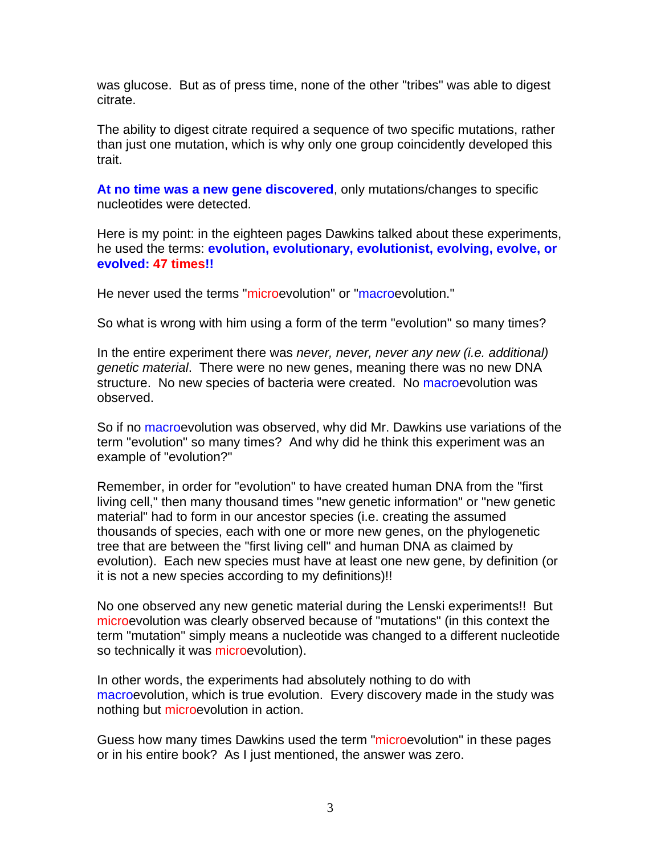was glucose. But as of press time, none of the other "tribes" was able to digest citrate.

The ability to digest citrate required a sequence of two specific mutations, rather than just one mutation, which is why only one group coincidently developed this trait.

**At no time was a new gene discovered**, only mutations/changes to specific nucleotides were detected.

Here is my point: in the eighteen pages Dawkins talked about these experiments, he used the terms: **evolution, evolutionary, evolutionist, evolving, evolve, or evolved: 47 times!!** 

He never used the terms "microevolution" or "macroevolution."

So what is wrong with him using a form of the term "evolution" so many times?

In the entire experiment there was *never, never, never any new (i.e. additional) genetic material*. There were no new genes, meaning there was no new DNA structure. No new species of bacteria were created. No macroevolution was observed.

So if no macroevolution was observed, why did Mr. Dawkins use variations of the term "evolution" so many times? And why did he think this experiment was an example of "evolution?"

Remember, in order for "evolution" to have created human DNA from the "first living cell," then many thousand times "new genetic information" or "new genetic material" had to form in our ancestor species (i.e. creating the assumed thousands of species, each with one or more new genes, on the phylogenetic tree that are between the "first living cell" and human DNA as claimed by evolution). Each new species must have at least one new gene, by definition (or it is not a new species according to my definitions)!!

No one observed any new genetic material during the Lenski experiments!! But microevolution was clearly observed because of "mutations" (in this context the term "mutation" simply means a nucleotide was changed to a different nucleotide so technically it was microevolution).

In other words, the experiments had absolutely nothing to do with macroevolution, which is true evolution. Every discovery made in the study was nothing but microevolution in action.

Guess how many times Dawkins used the term "microevolution" in these pages or in his entire book? As I just mentioned, the answer was zero.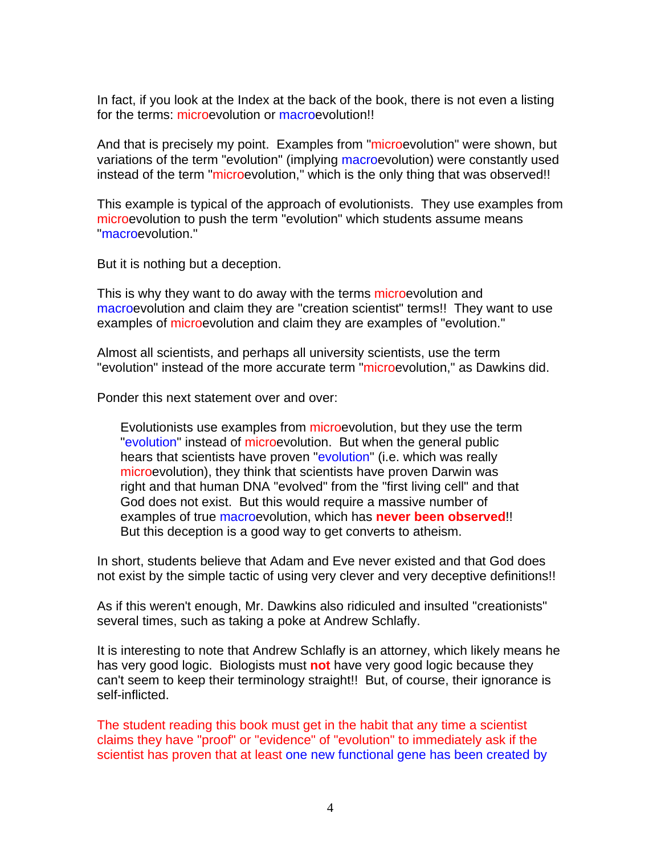In fact, if you look at the Index at the back of the book, there is not even a listing for the terms: microevolution or macroevolution!!

And that is precisely my point. Examples from "microevolution" were shown, but variations of the term "evolution" (implying macroevolution) were constantly used instead of the term "microevolution," which is the only thing that was observed!!

This example is typical of the approach of evolutionists. They use examples from microevolution to push the term "evolution" which students assume means "macroevolution."

But it is nothing but a deception.

This is why they want to do away with the terms microevolution and macroevolution and claim they are "creation scientist" terms!! They want to use examples of microevolution and claim they are examples of "evolution."

Almost all scientists, and perhaps all university scientists, use the term "evolution" instead of the more accurate term "microevolution," as Dawkins did.

Ponder this next statement over and over:

Evolutionists use examples from microevolution, but they use the term "evolution" instead of microevolution. But when the general public hears that scientists have proven "evolution" (i.e. which was really microevolution), they think that scientists have proven Darwin was right and that human DNA "evolved" from the "first living cell" and that God does not exist. But this would require a massive number of examples of true macroevolution, which has **never been observed**!! But this deception is a good way to get converts to atheism.

In short, students believe that Adam and Eve never existed and that God does not exist by the simple tactic of using very clever and very deceptive definitions!!

As if this weren't enough, Mr. Dawkins also ridiculed and insulted "creationists" several times, such as taking a poke at Andrew Schlafly.

It is interesting to note that Andrew Schlafly is an attorney, which likely means he has very good logic. Biologists must **not** have very good logic because they can't seem to keep their terminology straight!! But, of course, their ignorance is self-inflicted.

The student reading this book must get in the habit that any time a scientist claims they have "proof" or "evidence" of "evolution" to immediately ask if the scientist has proven that at least one new functional gene has been created by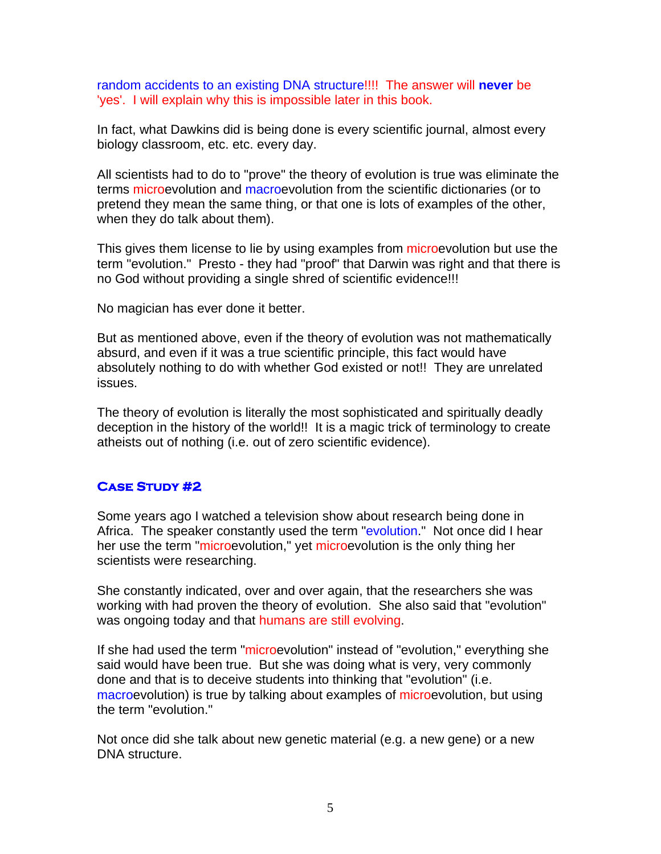random accidents to an existing DNA structure!!!! The answer will **never** be 'yes'. I will explain why this is impossible later in this book.

In fact, what Dawkins did is being done is every scientific journal, almost every biology classroom, etc. etc. every day.

All scientists had to do to "prove" the theory of evolution is true was eliminate the terms microevolution and macroevolution from the scientific dictionaries (or to pretend they mean the same thing, or that one is lots of examples of the other, when they do talk about them).

This gives them license to lie by using examples from microevolution but use the term "evolution." Presto - they had "proof" that Darwin was right and that there is no God without providing a single shred of scientific evidence!!!

No magician has ever done it better.

But as mentioned above, even if the theory of evolution was not mathematically absurd, and even if it was a true scientific principle, this fact would have absolutely nothing to do with whether God existed or not!! They are unrelated issues.

The theory of evolution is literally the most sophisticated and spiritually deadly deception in the history of the world!! It is a magic trick of terminology to create atheists out of nothing (i.e. out of zero scientific evidence).

### **Case Study #2**

Some years ago I watched a television show about research being done in Africa. The speaker constantly used the term "evolution." Not once did I hear her use the term "microevolution," yet microevolution is the only thing her scientists were researching.

She constantly indicated, over and over again, that the researchers she was working with had proven the theory of evolution. She also said that "evolution" was ongoing today and that humans are still evolving.

If she had used the term "microevolution" instead of "evolution," everything she said would have been true. But she was doing what is very, very commonly done and that is to deceive students into thinking that "evolution" (i.e. macroevolution) is true by talking about examples of microevolution, but using the term "evolution."

Not once did she talk about new genetic material (e.g. a new gene) or a new DNA structure.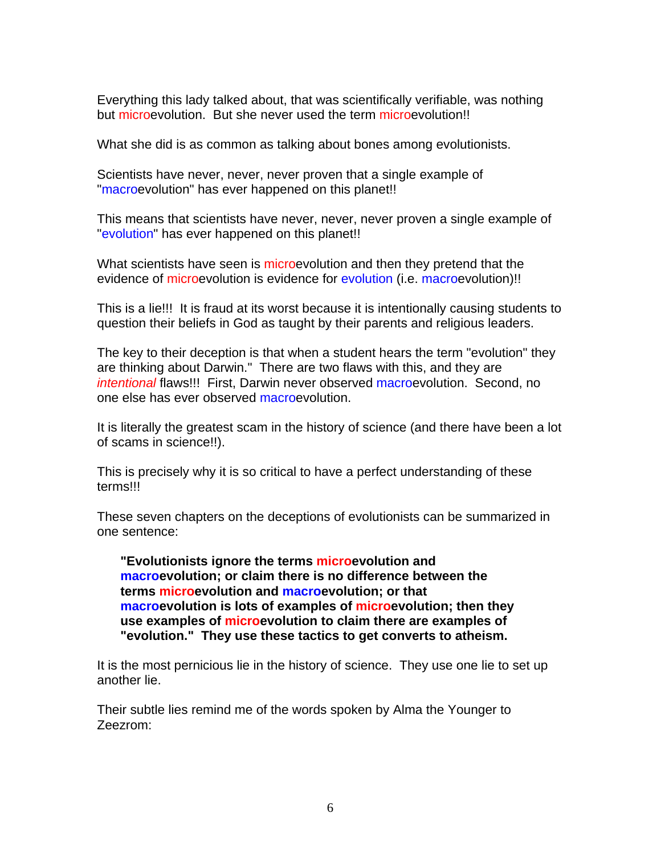Everything this lady talked about, that was scientifically verifiable, was nothing but microevolution. But she never used the term microevolution!!

What she did is as common as talking about bones among evolutionists.

Scientists have never, never, never proven that a single example of "macroevolution" has ever happened on this planet!!

This means that scientists have never, never, never proven a single example of "evolution" has ever happened on this planet!!

What scientists have seen is microevolution and then they pretend that the evidence of microevolution is evidence for evolution (i.e. macroevolution)!!

This is a lie!!! It is fraud at its worst because it is intentionally causing students to question their beliefs in God as taught by their parents and religious leaders.

The key to their deception is that when a student hears the term "evolution" they are thinking about Darwin." There are two flaws with this, and they are *intentional* flaws!!! First, Darwin never observed macroevolution. Second, no one else has ever observed macroevolution.

It is literally the greatest scam in the history of science (and there have been a lot of scams in science!!).

This is precisely why it is so critical to have a perfect understanding of these terms!!!

These seven chapters on the deceptions of evolutionists can be summarized in one sentence:

**"Evolutionists ignore the terms microevolution and macroevolution; or claim there is no difference between the terms microevolution and macroevolution; or that macroevolution is lots of examples of microevolution; then they use examples of microevolution to claim there are examples of "evolution." They use these tactics to get converts to atheism.** 

It is the most pernicious lie in the history of science. They use one lie to set up another lie.

Their subtle lies remind me of the words spoken by Alma the Younger to Zeezrom: